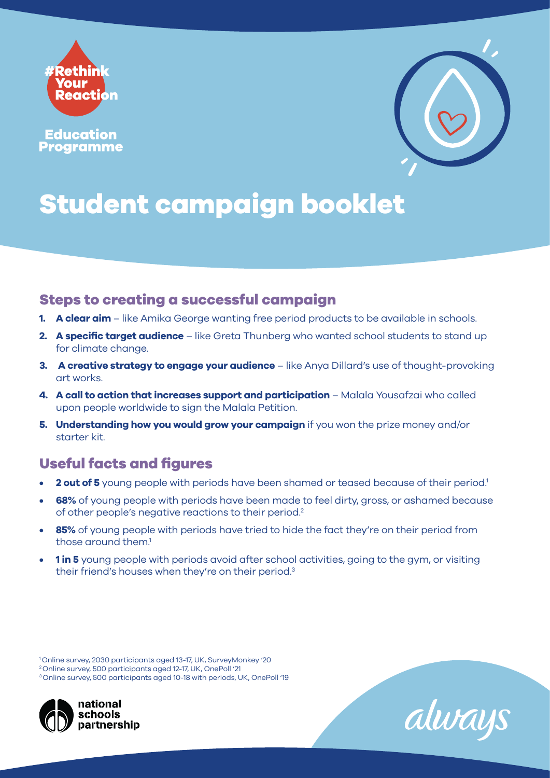

**Education Programme** 



# **Student campaign booklet**

#### **Steps to creating a successful campaign**

- **1. A clear aim** like Amika George wanting free period products to be available in schools.
- **2. A specific target audience** like Greta Thunberg who wanted school students to stand up for climate change.
- **3.** A creative strategy to engage your audience like Anya Dillard's use of thought-provoking art works.
- **4. A call to action that increases support and participation** Malala Yousafzai who called upon people worldwide to sign the Malala Petition.
- **5. Understanding how you would grow your campaign** if you won the prize money and/or starter kit.

### **Useful facts and figures**

- **2 out of 5** young people with periods have been shamed or teased because of their period.<sup>1</sup>
- **68%** of young people with periods have been made to feel dirty, gross, or ashamed because of other people's negative reactions to their period.2
- **85%** of young people with periods have tried to hide the fact they're on their period from those around them.<sup>1</sup>
- **1 in 5** young people with periods avoid after school activities, going to the gym, or visiting their friend's houses when they're on their period.3

<sup>3</sup> Online survey, 500 participants aged 10-18 with periods, UK, OnePoll '19





<sup>1</sup> Online survey, 2030 participants aged 13-17, UK, SurveyMonkey '20 2 Online survey, 500 participants aged 12-17, UK, OnePoll '21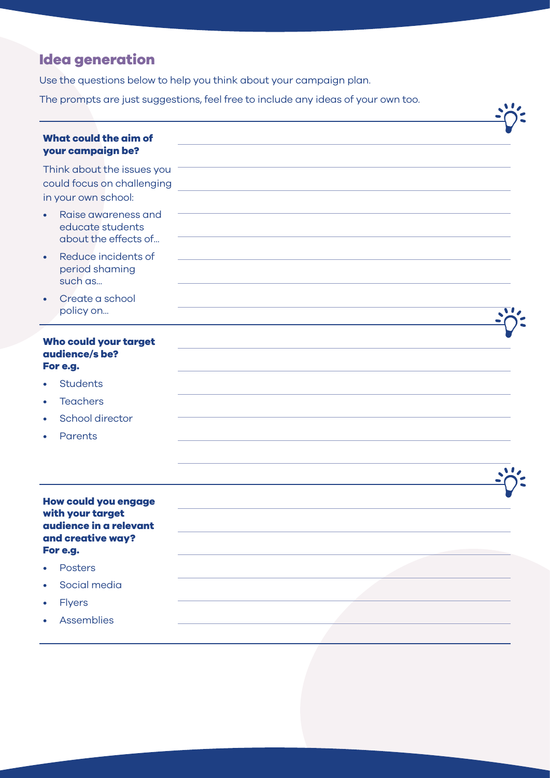## **Idea generation**

Use the questions below to help you think about your campaign plan.

The prompts are just suggestions, feel free to include any ideas of your own too.

|                                                                                 | The prompts are just suggestions, reenree to include any ideas or your own too. |  |
|---------------------------------------------------------------------------------|---------------------------------------------------------------------------------|--|
| <b>What could the aim of</b><br>your campaign be?                               |                                                                                 |  |
| Think about the issues you<br>could focus on challenging<br>in your own school: |                                                                                 |  |
| Raise awareness and<br>educate students<br>about the effects of                 |                                                                                 |  |
| Reduce incidents of<br>$\bullet$<br>period shaming<br>such as                   |                                                                                 |  |
| Create a school<br>$\bullet$<br>policy on                                       |                                                                                 |  |
| Who could your target<br>audience/s be?<br>For e.g.                             |                                                                                 |  |
| <b>Students</b>                                                                 |                                                                                 |  |
| <b>Teachers</b><br>$\bullet$                                                    |                                                                                 |  |
| School director                                                                 |                                                                                 |  |
| Parents                                                                         |                                                                                 |  |
|                                                                                 |                                                                                 |  |
|                                                                                 |                                                                                 |  |
| <b>How could you engage</b><br>with your target                                 |                                                                                 |  |
| audience in a relevant                                                          |                                                                                 |  |
| and creative way?<br>For e.g.                                                   |                                                                                 |  |
| <b>Posters</b>                                                                  |                                                                                 |  |
| Social media<br>$\bullet$                                                       |                                                                                 |  |
| <b>Flyers</b><br>$\bullet$                                                      |                                                                                 |  |
| Assemblies                                                                      |                                                                                 |  |
|                                                                                 |                                                                                 |  |